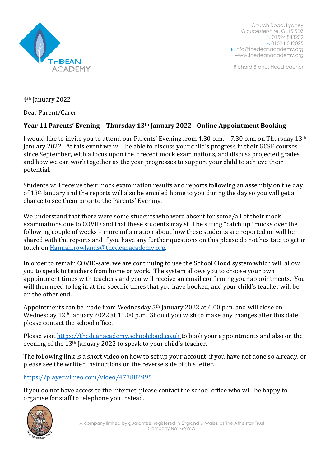

Church Road, Lydney Gloucestershire, GL15 5DZ T: 01594 843202 F: 01594 842025 E: [info@thedeanacademy.org](mailto:info@thedeanacademy.org) [www.thedeanacademy.org](http://www.thedeanacademy.org/)

Richard Brand: Headteacher

4th January 2022

Dear Parent/Carer

## **Year 11 Parents' Evening – Thursday 13th January 2022 - Online Appointment Booking**

I would like to invite you to attend our Parents' Evening from 4.30 p.m. – 7.30 p.m. on Thursday 13th January 2022. At this event we will be able to discuss your child's progress in their GCSE courses since September, with a focus upon their recent mock examinations, and discuss projected grades and how we can work together as the year progresses to support your child to achieve their potential.

Students will receive their mock examination results and reports following an assembly on the day of 13th January and the reports will also be emailed home to you during the day so you will get a chance to see them prior to the Parents' Evening.

We understand that there were some students who were absent for some/all of their mock examinations due to COVID and that these students may still be sitting "catch up" mocks over the following couple of weeks – more information about how these students are reported on will be shared with the reports and if you have any further questions on this please do not hesitate to get in touch on [Hannah.rowlands@thedeanacademy.org.](mailto:Hannah.rowlands@thedeanacademy.org)

In order to remain COVID-safe, we are continuing to use the School Cloud system which will allow you to speak to teachers from home or work. The system allows you to choose your own appointment times with teachers and you will receive an email confirming your appointments. You will then need to log in at the specific times that you have booked, and your child's teacher will be on the other end.

Appointments can be made from Wednesday 5th January 2022 at 6.00 p.m. and will close on Wednesday 12<sup>th</sup> January 2022 at 11.00 p.m. Should you wish to make any changes after this date please contact the school office.

Please visi[t https://thedeanacademy.schoolcloud.co.uk](https://thedeanacademy.schoolcloud.co.uk/) to book your appointments and also on the evening of the 13th January 2022 to speak to your child's teacher.

The following link is a short video on how to set up your account, if you have not done so already, or please see the written instructions on the reverse side of this letter.

<https://player.vimeo.com/video/473882995>

If you do not have access to the internet, please contact the school office who will be happy to organise for staff to telephone you instead.